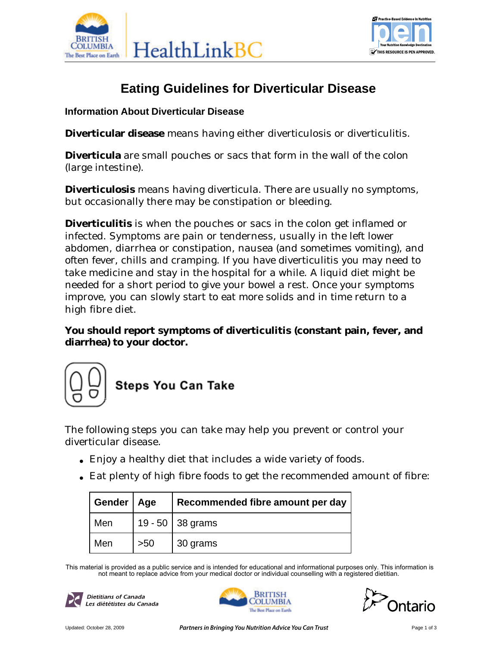



# **Eating Guidelines for Diverticular Disease**

#### **Information About Diverticular Disease**

**Diverticular disease** means having either diverticulosis or diverticulitis.

**Diverticula** are small pouches or sacs that form in the wall of the colon (large intestine).

**Diverticulosis** means having diverticula. There are usually no symptoms, but occasionally there may be constipation or bleeding.

**Diverticulitis** is when the pouches or sacs in the colon get inflamed or infected. Symptoms are pain or tenderness, usually in the left lower abdomen, diarrhea or constipation, nausea (and sometimes vomiting), and often fever, chills and cramping. If you have diverticulitis you may need to take medicine and stay in the hospital for a while. A liquid diet might be needed for a short period to give your bowel a rest. Once your symptoms improve, you can slowly start to eat more solids and in time return to a high fibre diet.

**You should report symptoms of diverticulitis (constant pain, fever, and diarrhea) to your doctor.**



The following steps you can take may help you prevent or control your diverticular disease.

- Enjoy a healthy diet that includes a wide variety of foods.
- Eat plenty of high fibre foods to get the recommended amount of fibre:

| Gender   Age |     | Recommended fibre amount per day |
|--------------|-----|----------------------------------|
| Men          |     | 19 - 50 $\vert$ 38 grams         |
| Men          | >50 | 30 grams                         |

This material is provided as a public service and is intended for educational and informational purposes only. This information is not meant to replace advice from your medical doctor or individual counselling with a registered dietitian.





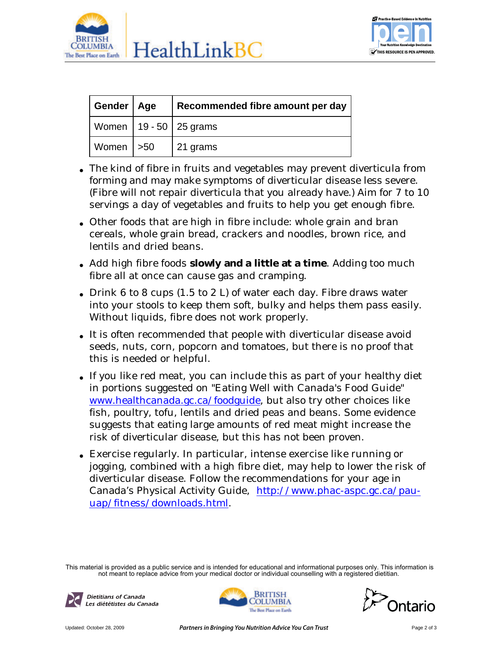



| Gender   Age  | Recommended fibre amount per day |
|---------------|----------------------------------|
|               | Women   19 - 50   25 grams       |
| Women $  >50$ | $\vert$ 21 grams                 |

- The kind of fibre in fruits and vegetables may prevent diverticula from forming and may make symptoms of diverticular disease less severe. (Fibre will not repair diverticula that you already have.) Aim for 7 to 10 servings a day of vegetables and fruits to help you get enough fibre.
- Other foods that are high in fibre include: whole grain and bran cereals, whole grain bread, crackers and noodles, brown rice, and lentils and dried beans.
- Add high fibre foods slowly and a little at a time. Adding too much fibre all at once can cause gas and cramping.
- Drink 6 to 8 cups  $(1.5 \text{ to } 2 \text{ L})$  of water each day. Fibre draws water into your stools to keep them soft, bulky and helps them pass easily. Without liquids, fibre does not work properly.
- It is often recommended that people with diverticular disease avoid seeds, nuts, corn, popcorn and tomatoes, but there is no proof that this is needed or helpful.
- If you like red meat, you can include this as part of your healthy diet in portions suggested on "Eating Well with Canada's Food Guide" . www.healthcanada.gc.ca/foodguide, but also try other choices like fish, poultry, tofu, lentils and dried peas and beans. Some evidence suggests that eating large amounts of red meat might increase the risk of diverticular disease, but this has not been proven.
- Exercise regularly. In particular, intense exercise like running or jogging, combined with a high fibre diet, may help to lower the risk of diverticular disease. Follow the recommendations for your age in Canada's Physical Activity Guide, http://www.phac-aspc.gc.ca/pauuap/fitness/downloads.html.

This material is provided as a public service and is intended for educational and informational purposes only. This information is not meant to replace advice from your medical doctor or individual counselling with a registered dietitian.



**Dietitians of Canada** Les diététistes du Canada